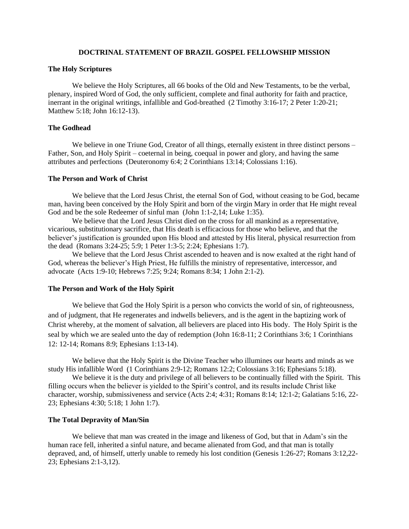## **DOCTRINAL STATEMENT OF BRAZIL GOSPEL FELLOWSHIP MISSION**

#### **The Holy Scriptures**

We believe the Holy Scriptures, all 66 books of the Old and New Testaments, to be the verbal, plenary, inspired Word of God, the only sufficient, complete and final authority for faith and practice, inerrant in the original writings, infallible and God-breathed (2 Timothy 3:16-17; 2 Peter 1:20-21; Matthew 5:18; John 16:12-13).

## **The Godhead**

We believe in one Triune God, Creator of all things, eternally existent in three distinct persons – Father, Son, and Holy Spirit – coeternal in being, coequal in power and glory, and having the same attributes and perfections (Deuteronomy 6:4; 2 Corinthians 13:14; Colossians 1:16).

#### **The Person and Work of Christ**

We believe that the Lord Jesus Christ, the eternal Son of God, without ceasing to be God, became man, having been conceived by the Holy Spirit and born of the virgin Mary in order that He might reveal God and be the sole Redeemer of sinful man (John 1:1-2,14; Luke 1:35).

We believe that the Lord Jesus Christ died on the cross for all mankind as a representative, vicarious, substitutionary sacrifice, that His death is efficacious for those who believe, and that the believer's justification is grounded upon His blood and attested by His literal, physical resurrection from the dead (Romans 3:24-25; 5:9; 1 Peter 1:3-5; 2:24; Ephesians 1:7).

We believe that the Lord Jesus Christ ascended to heaven and is now exalted at the right hand of God, whereas the believer's High Priest, He fulfills the ministry of representative, intercessor, and advocate (Acts 1:9-10; Hebrews 7:25; 9:24; Romans 8:34; 1 John 2:1-2).

### **The Person and Work of the Holy Spirit**

We believe that God the Holy Spirit is a person who convicts the world of sin, of righteousness, and of judgment, that He regenerates and indwells believers, and is the agent in the baptizing work of Christ whereby, at the moment of salvation, all believers are placed into His body. The Holy Spirit is the seal by which we are sealed unto the day of redemption (John 16:8-11; 2 Corinthians 3:6; 1 Corinthians 12: 12-14; Romans 8:9; Ephesians 1:13-14).

We believe that the Holy Spirit is the Divine Teacher who illumines our hearts and minds as we study His infallible Word (1 Corinthians 2:9-12; Romans 12:2; Colossians 3:16; Ephesians 5:18).

We believe it is the duty and privilege of all believers to be continually filled with the Spirit. This filling occurs when the believer is yielded to the Spirit's control, and its results include Christ like character, worship, submissiveness and service (Acts 2:4; 4:31; Romans 8:14; 12:1-2; Galatians 5:16, 22- 23; Ephesians 4:30; 5:18; 1 John 1:7).

#### **The Total Depravity of Man/Sin**

We believe that man was created in the image and likeness of God, but that in Adam's sin the human race fell, inherited a sinful nature, and became alienated from God, and that man is totally depraved, and, of himself, utterly unable to remedy his lost condition (Genesis 1:26-27; Romans 3:12,22- 23; Ephesians 2:1-3,12).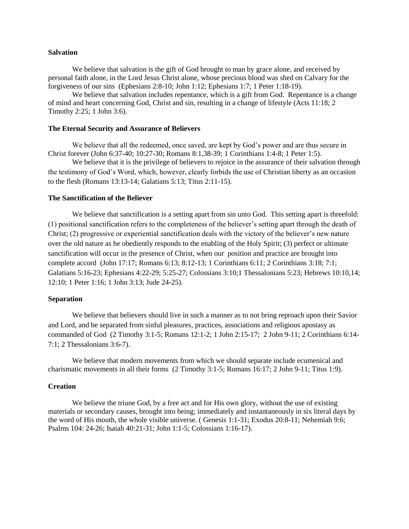## **Salvation**

We believe that salvation is the gift of God brought to man by grace alone, and received by personal faith alone, in the Lord Jesus Christ alone, whose precious blood was shed on Calvary for the forgiveness of our sins (Ephesians 2:8-10; John 1:12; Ephesians 1:7; 1 Peter 1:18-19).

We believe that salvation includes repentance, which is a gift from God. Repentance is a change of mind and heart concerning God, Christ and sin, resulting in a change of lifestyle (Acts 11:18; 2 Timothy 2:25; 1 John 3:6).

## **The Eternal Security and Assurance of Believers**

We believe that all the redeemed, once saved, are kept by God's power and are thus secure in Christ forever (John 6:37-40; 10:27-30; Romans 8:1,38-39; 1 Corinthians 1:4-8; 1 Peter 1:5).

We believe that it is the privilege of believers to rejoice in the assurance of their salvation through the testimony of God's Word, which, however, clearly forbids the use of Christian liberty as an occasion to the flesh (Romans 13:13-14; Galatians 5:13; Titus 2:11-15).

# **The Sanctification of the Believer**

We believe that sanctification is a setting apart from sin unto God. This setting apart is threefold: (1) positional sanctification refers to the completeness of the believer's setting apart through the death of Christ; (2) progressive or experiential sanctification deals with the victory of the believer's new nature over the old nature as he obediently responds to the enabling of the Holy Spirit; (3) perfect or ultimate sanctification will occur in the presence of Christ, when our position and practice are brought into complete accord (John 17:17; Romans 6:13; 8:12-13; 1 Corinthians 6:11; 2 Corinthians 3:18; 7:1; Galatians 5:16-23; Ephesians 4:22-29; 5:25-27; Colossians 3:10;1 Thessalonians 5:23; Hebrews 10:10,14; 12:10; 1 Peter 1:16; 1 John 3:13; Jude 24-25).

## **Separation**

We believe that believers should live in such a manner as to not bring reproach upon their Savior and Lord, and be separated from sinful pleasures, practices, associations and religious apostasy as commanded of God (2 Timothy 3:1-5; Romans 12:1-2; 1 John 2:15-17; 2 John 9-11; 2 Corinthians 6:14- 7:1; 2 Thessalonians 3:6-7).

We believe that modern movements from which we should separate include ecumenical and charismatic movements in all their forms (2 Timothy 3:1-5; Romans 16:17; 2 John 9-11; Titus 1:9).

#### **Creation**

We believe the triune God, by a free act and for His own glory, without the use of existing materials or secondary causes, brought into being; immediately and instantaneously in six literal days by the word of His mouth, the whole visible universe. ( Genesis 1:1-31; Exodus 20:8-11; Nehemiah 9:6; Psalms 104: 24-26; Isaiah 40:21-31; John 1:1-5; Colossians 1:16-17).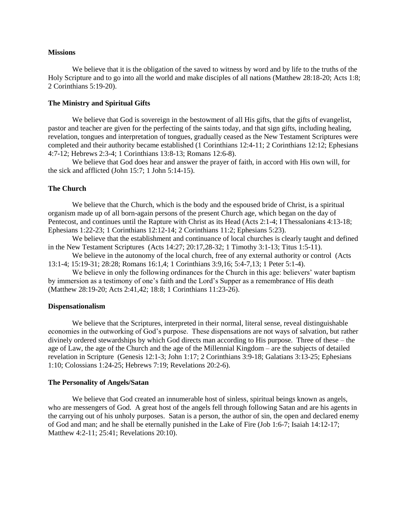#### **Missions**

We believe that it is the obligation of the saved to witness by word and by life to the truths of the Holy Scripture and to go into all the world and make disciples of all nations (Matthew 28:18-20; Acts 1:8; 2 Corinthians 5:19-20).

# **The Ministry and Spiritual Gifts**

We believe that God is sovereign in the bestowment of all His gifts, that the gifts of evangelist, pastor and teacher are given for the perfecting of the saints today, and that sign gifts, including healing, revelation, tongues and interpretation of tongues, gradually ceased as the New Testament Scriptures were completed and their authority became established (1 Corinthians 12:4-11; 2 Corinthians 12:12; Ephesians 4:7-12; Hebrews 2:3-4; 1 Corinthians 13:8-13; Romans 12:6-8).

We believe that God does hear and answer the prayer of faith, in accord with His own will, for the sick and afflicted (John 15:7; 1 John 5:14-15).

## **The Church**

We believe that the Church, which is the body and the espoused bride of Christ, is a spiritual organism made up of all born-again persons of the present Church age, which began on the day of Pentecost, and continues until the Rapture with Christ as its Head (Acts 2:1-4; I Thessalonians 4:13-18; Ephesians 1:22-23; 1 Corinthians 12:12-14; 2 Corinthians 11:2; Ephesians 5:23).

We believe that the establishment and continuance of local churches is clearly taught and defined in the New Testament Scriptures (Acts 14:27; 20:17,28-32; 1 Timothy 3:1-13; Titus 1:5-11).

We believe in the autonomy of the local church, free of any external authority or control (Acts 13:1-4; 15:19-31; 28:28; Romans 16:1,4; 1 Corinthians 3:9,16; 5:4-7,13; 1 Peter 5:1-4).

We believe in only the following ordinances for the Church in this age: believers' water baptism by immersion as a testimony of one's faith and the Lord's Supper as a remembrance of His death (Matthew 28:19-20; Acts 2:41,42; 18:8; 1 Corinthians 11:23-26).

## **Dispensationalism**

We believe that the Scriptures, interpreted in their normal, literal sense, reveal distinguishable economies in the outworking of God's purpose. These dispensations are not ways of salvation, but rather divinely ordered stewardships by which God directs man according to His purpose. Three of these – the age of Law, the age of the Church and the age of the Millennial Kingdom – are the subjects of detailed revelation in Scripture (Genesis 12:1-3; John 1:17; 2 Corinthians 3:9-18; Galatians 3:13-25; Ephesians 1:10; Colossians 1:24-25; Hebrews 7:19; Revelations 20:2-6).

## **The Personality of Angels/Satan**

We believe that God created an innumerable host of sinless, spiritual beings known as angels, who are messengers of God. A great host of the angels fell through following Satan and are his agents in the carrying out of his unholy purposes. Satan is a person, the author of sin, the open and declared enemy of God and man; and he shall be eternally punished in the Lake of Fire (Job 1:6-7; Isaiah 14:12-17; Matthew 4:2-11; 25:41; Revelations 20:10).